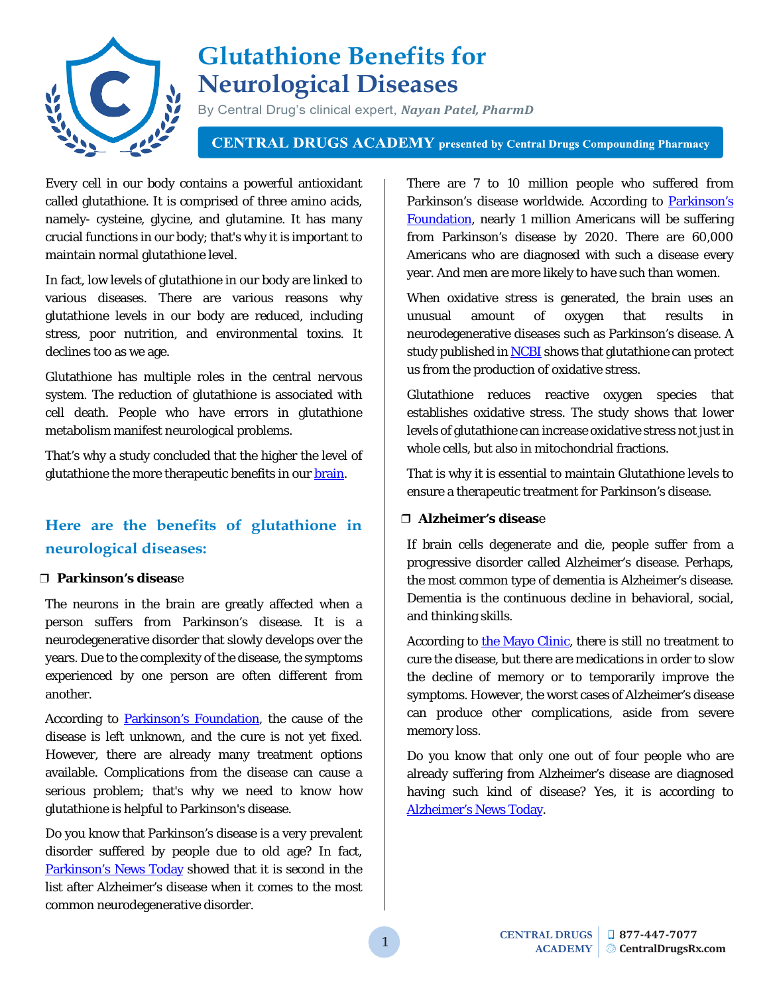

# **Glutathione Benefits for Neurological Diseases**

By Central Drug's clinical expert, *Nayan Patel, PharmD*

**CENTRAL DRUGS ACADEMY** presented by Central Drugs Compounding Pharmacy

Every cell in our body contains a powerful antioxidant called glutathione. It is comprised of three amino acids, namely- cysteine, glycine, and glutamine. It has many crucial functions in our body; that's why it is important to maintain normal glutathione level.

In fact, low levels of glutathione in our body are linked to various diseases. There are various reasons why glutathione levels in our body are reduced, including stress, poor nutrition, and environmental toxins. It declines too as we age.

Glutathione has multiple roles in the central nervous system. The reduction of glutathione is associated with cell death. People who have errors in glutathione metabolism manifest neurological problems.

That's why a study concluded that the higher the level of glutathione the more therapeutic benefits in our [brain.](https://www.ncbi.nlm.nih.gov/pubmed/9377474)

# **Here are the benefits of glutathione in neurological diseases:**

#### ❒ **Parkinson's diseas**e

The neurons in the brain are greatly affected when a person suffers from Parkinson's disease. It is a neurodegenerative disorder that slowly develops over the years. Due to the complexity of the disease, the symptoms experienced by one person are often different from another.

According to [Parkinson's Foundation,](https://parkinson.org/understanding-parkinsons/what-is-parkinsons) the cause of the disease is left unknown, and the cure is not yet fixed. However, there are already many treatment options available. Complications from the disease can cause a serious problem; that's why we need to know how glutathione is helpful to Parkinson's disease.

Do you know that Parkinson's disease is a very prevalent disorder suffered by people due to old age? In fact, [Parkinson's News Today](https://parkinsonsnewstoday.com/parkinsons-disease-statistics/) showed that it is second in the list after Alzheimer's disease when it comes to the most common neurodegenerative disorder.

There are 7 to 10 million people who suffered from Parkinson's disease worldwide. According to Parkinson's [Foundation,](https://parkinson.org/Understanding-Parkinsons/Statistics) nearly 1 million Americans will be suffering from Parkinson's disease by 2020. There are 60,000 Americans who are diagnosed with such a disease every year. And men are more likely to have such than women.

When oxidative stress is generated, the brain uses an unusual amount of oxygen that results in neurodegenerative diseases such as Parkinson's disease. A study published in **NCBI** shows that glutathione can protect us from the production of oxidative stress.

Glutathione reduces reactive oxygen species that establishes oxidative stress. The study shows that lower levels of glutathione can increase oxidative stress not just in whole cells, but also in mitochondrial fractions.

That is why it is essential to maintain Glutathione levels to ensure a therapeutic treatment for Parkinson's disease.

### ❒ **Alzheimer's diseas**e

If brain cells degenerate and die, people suffer from a progressive disorder called Alzheimer's disease. Perhaps, the most common type of dementia is Alzheimer's disease. Dementia is the continuous decline in behavioral, social, and thinking skills.

According to [the Mayo Clinic,](https://www.mayoclinic.org/diseases-conditions/alzheimers-disease/symptoms-causes/syc-20350447) there is still no treatment to cure the disease, but there are medications in order to slow the decline of memory or to temporarily improve the symptoms. However, the worst cases of Alzheimer's disease can produce other complications, aside from severe memory loss.

Do you know that only one out of four people who are already suffering from Alzheimer's disease are diagnosed having such kind of disease? Yes, it is according to [Alzheimer's News Today.](https://alzheimersnewstoday.com/alzheimers-disease-statistics/)